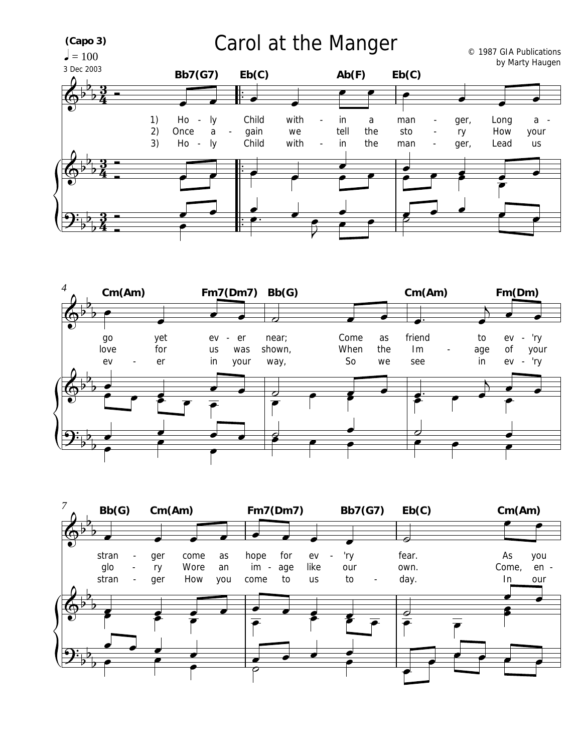